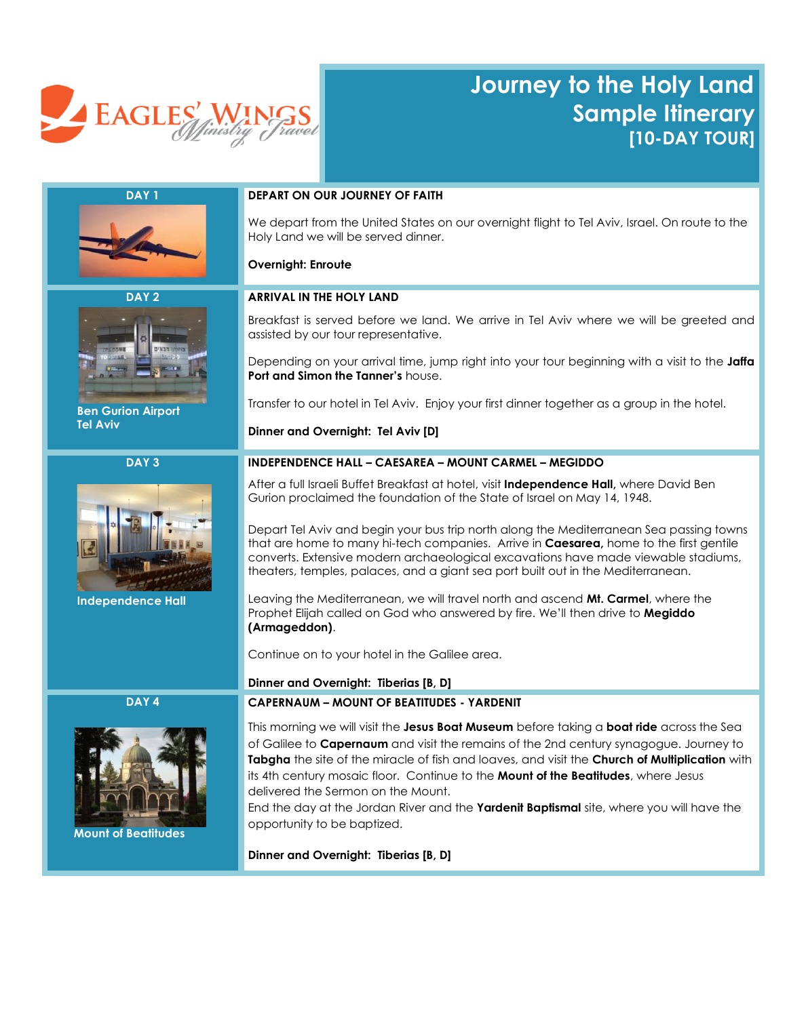

# **Journey to the Holy Land Sample Itinerary [10-DAY TOUR]**





 **Ben Gurion Airport Tel Aviv**

**DAY 3**



 **Independence Hall**

**DAY 4**



 **Mount of Beatitudes**

# **DAY 1 DEPART ON OUR JOURNEY OF FAITH**

We depart from the United States on our overnight flight to Tel Aviv, Israel. On route to the Holy Land we will be served dinner.

#### **Overnight: Enroute**

#### **ARRIVAL IN THE HOLY LAND**

Breakfast is served before we land. We arrive in Tel Aviv where we will be greeted and assisted by our tour representative.

Depending on your arrival time, jump right into your tour beginning with a visit to the **Jaffa Port and Simon the Tanner's** house.

Transfer to our hotel in Tel Aviv. Enjoy your first dinner together as a group in the hotel.

**Dinner and Overnight: Tel Aviv [D]**

### **INDEPENDENCE HALL – CAESAREA – MOUNT CARMEL – MEGIDDO**

After a full Israeli Buffet Breakfast at hotel, visit **Independence Hall,** where David Ben Gurion proclaimed the foundation of the State of Israel on May 14, 1948.

Depart Tel Aviv and begin your bus trip north along the Mediterranean Sea passing towns that are home to many hi-tech companies. Arrive in **Caesarea,** home to the first gentile converts. Extensive modern archaeological excavations have made viewable stadiums, theaters, temples, palaces, and a giant sea port built out in the Mediterranean.

Leaving the Mediterranean, we will travel north and ascend **Mt. Carmel**, where the Prophet Elijah called on God who answered by fire. We'll then drive to **Megiddo (Armageddon)**.

Continue on to your hotel in the Galilee area.

#### **Dinner and Overnight: Tiberias [B, D]**

#### **CAPERNAUM – MOUNT OF BEATITUDES - YARDENIT**

This morning we will visit the **Jesus Boat Museum** before taking a **boat ride** across the Sea of Galilee to **Capernaum** and visit the remains of the 2nd century synagogue. Journey to **Tabgha** the site of the miracle of fish and loaves, and visit the **Church of Multiplication** with its 4th century mosaic floor. Continue to the **Mount of the Beatitudes**, where Jesus delivered the Sermon on the Mount.

End the day at the Jordan River and the **Yardenit Baptismal** site, where you will have the opportunity to be baptized.

**Dinner and Overnight: Tiberias [B, D]**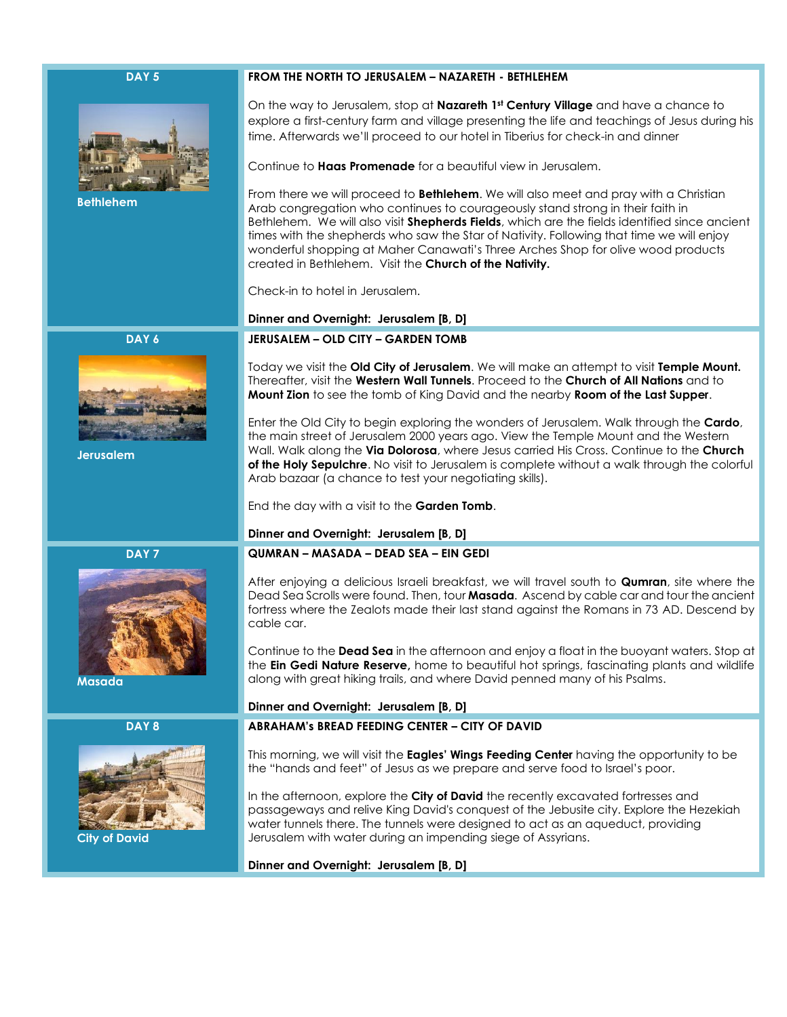# **DAY 5**



**DAY 6**

 **Bethlehem**

#### **FROM THE NORTH TO JERUSALEM – NAZARETH - BETHLEHEM**

On the way to Jerusalem, stop at **Nazareth 1st Century Village** and have a chance to explore a first-century farm and village presenting the life and teachings of Jesus during his time. Afterwards we'll proceed to our hotel in Tiberius for check-in and dinner

Continue to **Haas Promenade** for a beautiful view in Jerusalem.

From there we will proceed to **Bethlehem**. We will also meet and pray with a Christian Arab congregation who continues to courageously stand strong in their faith in Bethlehem. We will also visit **Shepherds Fields**, which are the fields identified since ancient times with the shepherds who saw the Star of Nativity. Following that time we will enjoy wonderful shopping at Maher Canawati's Three Arches Shop for olive wood products created in Bethlehem. Visit the **Church of the Nativity.** 

Check-in to hotel in Jerusalem.

# **Dinner and Overnight: Jerusalem [B, D]**

## **JERUSALEM – OLD CITY – GARDEN TOMB**

Today we visit the **Old City of Jerusalem**. We will make an attempt to visit **Temple Mount.** Thereafter, visit the **Western Wall Tunnels**. Proceed to the **Church of All Nations** and to **Mount Zion** to see the tomb of King David and the nearby **Room of the Last Supper**.

Enter the Old City to begin exploring the wonders of Jerusalem. Walk through the **Cardo**, the main street of Jerusalem 2000 years ago. View the Temple Mount and the Western Wall. Walk along the **Via Dolorosa**, where Jesus carried His Cross. Continue to the **Church of the Holy Sepulchre**. No visit to Jerusalem is complete without a walk through the colorful Arab bazaar (a chance to test your negotiating skills).

End the day with a visit to the **Garden Tomb**.

#### **Dinner and Overnight: Jerusalem [B, D]**

**DAY 7**



 **Masada**

 **Jerusalem**

#### **DAY 8**



 **City of David**

# **QUMRAN – MASADA – DEAD SEA – EIN GEDI**

After enjoying a delicious Israeli breakfast, we will travel south to **Qumran**, site where the Dead Sea Scrolls were found. Then, tour **Masada**. Ascend by cable car and tour the ancient fortress where the Zealots made their last stand against the Romans in 73 AD. Descend by cable car.

Continue to the **Dead Sea** in the afternoon and enjoy a float in the buoyant waters. Stop at the **Ein Gedi Nature Reserve,** home to beautiful hot springs, fascinating plants and wildlife along with great hiking trails, and where David penned many of his Psalms.

#### **Dinner and Overnight: Jerusalem [B, D]**

# **ABRAHAM's BREAD FEEDING CENTER – CITY OF DAVID**

This morning, we will visit the **Eagles' Wings Feeding Center** having the opportunity to be the "hands and feet" of Jesus as we prepare and serve food to Israel's poor.

In the afternoon, explore the **City of David** the recently excavated fortresses and passageways and relive King David's conquest of the Jebusite city. Explore the Hezekiah water tunnels there. The tunnels were designed to act as an aqueduct, providing Jerusalem with water during an impending siege of Assyrians.

**Dinner and Overnight: Jerusalem [B, D]**